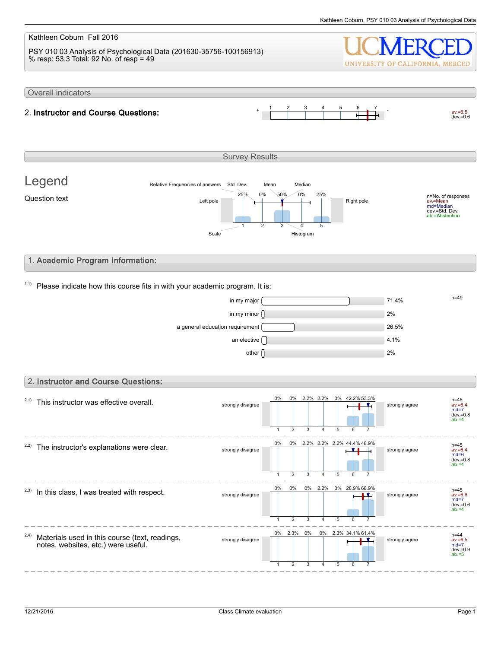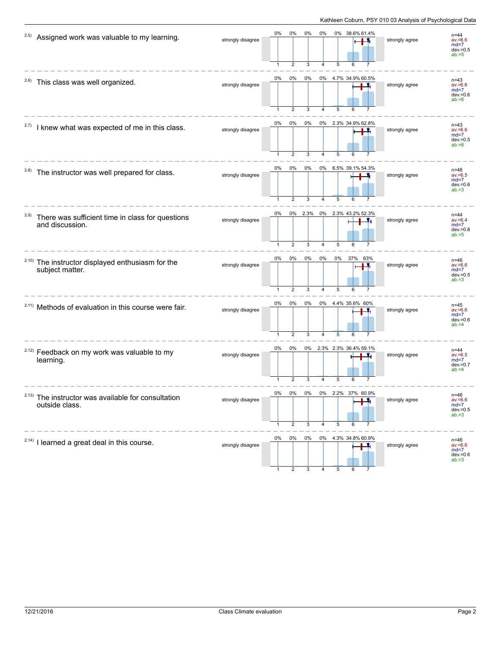| 2.5)  | Assigned work was valuable to my learning.                                      | strongly disagree | 0%                 | 0%<br>$\overline{2}$    | 0%<br>3      | 0%         | 5         | 0% 38.6% 61.4%           | strongly agree | $n = 44$<br>$av = 6.6$<br>$md=7$<br>$dev = 0.5$<br>$ab = 5$ |
|-------|---------------------------------------------------------------------------------|-------------------|--------------------|-------------------------|--------------|------------|-----------|--------------------------|----------------|-------------------------------------------------------------|
| 2.6)  | This class was well organized.                                                  | strongly disagree | 0%<br>$\mathbf{1}$ | 0%<br>$\overline{2}$    | 0%<br>3      | 4          | 5         | 0% 4.7% 34.9% 60.5%      | strongly agree | $n = 43$<br>$av = 6.6$<br>$md=7$<br>$dev = 0.6$<br>$ab = 6$ |
| 2.7)  | I knew what was expected of me in this class.                                   | strongly disagree | 0%                 | $0\%$<br>$\overline{2}$ | 0%<br>3      |            |           | 0% 2.3% 34.9% 62.8%      | strongly agree | $n = 43$<br>$av = 6.6$<br>$md=7$<br>$dev = 0.5$<br>$ab = 6$ |
| 2.8)  | The instructor was well prepared for class.                                     | strongly disagree | 0%                 | 0%<br>$\overline{2}$    | 0%<br>3      | 4          | 5         | 0% 6.5% 39.1% 54.3%      | strongly agree | $n = 46$<br>$av = 6.5$<br>$md=7$<br>$dev = 0.6$<br>$ab = 3$ |
| 2.9)  | There was sufficient time in class for questions<br>and discussion.             | strongly disagree | 0%<br>$\mathbf{1}$ | $\overline{2}$          | 0% 2.3%<br>3 | 4          | 5         | 0% 2.3% 43.2% 52.3%<br>6 | strongly agree | $n = 44$<br>$av = 6.4$<br>$md=7$<br>$dev = 0.8$<br>$ab = 5$ |
|       | <sup>2.10)</sup> The instructor displayed enthusiasm for the<br>subject matter. | strongly disagree | 0%<br>$\mathbf{1}$ | 0%<br>$\overline{2}$    | 0%<br>3      | $0\%$<br>4 | 0%<br>5   | 37% 63%                  | strongly agree | $n = 46$<br>$av = 6.6$<br>$md=7$<br>$dev = 0.5$<br>$ab = 3$ |
|       | <sup>2.11)</sup> Methods of evaluation in this course were fair.                | strongly disagree | 0%                 | 0%<br>$\overline{2}$    | 0%<br>3      | 4          | 5         | 0% 4.4% 35.6% 60%<br>6   | strongly agree | $n = 45$<br>$av = 6.6$<br>$md=7$<br>$dev = 0.6$<br>$ab = 4$ |
|       | <sup>2.12)</sup> Feedback on my work was valuable to my<br>learning.            | strongly disagree | 0%<br>1            | 0%<br>$\overline{2}$    | 3            |            | 5         | 0% 2.3% 2.3% 36.4% 59.1% | strongly agree | $n = 44$<br>$av = 6.5$<br>$md=7$<br>$dev = 0.7$<br>$ab = 4$ |
| 2.13) | The instructor was available for consultation<br>outside class.                 | strongly disagree | 0%                 | 0%<br>2                 | 0%<br>3      | 0%<br>4    | 2.2%<br>5 | UU.Y7                    | strongly agree | n=46<br>$av = 6.6$<br>$md=7$<br>$dev = 0.5$<br>$ab = 3$     |
|       | <sup>2.14)</sup> I learned a great deal in this course.                         | strongly disagree | 0%                 | 0%                      | 0%           |            |           | 0% 4.3% 34.8% 60.9%      | strongly agree | $n=46$<br>$av = 6.6$<br>$md=7$<br>$dev = 0.6$<br>$ab = 3$   |

1 2 3 4 5 6 7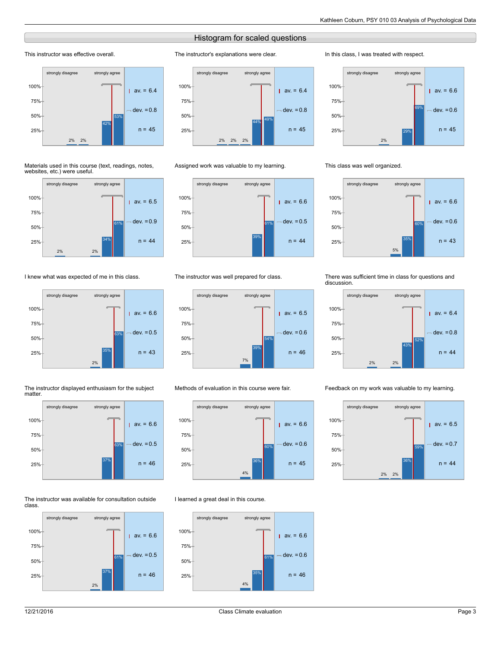## Histogram for scaled questions

The instructor's explanations were clear.

## This instructor was effective overall.



#### Materials used in this course (text, readings, notes, websites, etc.) were useful.



## I knew what was expected of me in this class.



#### The instructor displayed enthusiasm for the subject matter.



#### The instructor was available for consultation outside class.





### Assigned work was valuable to my learning.



## The instructor was well prepared for class.



## Methods of evaluation in this course were fair.



## I learned a great deal in this course.



#### In this class, I was treated with respect.



#### This class was well organized.



#### There was sufficient time in class for questions and discussion.



#### Feedback on my work was valuable to my learning.

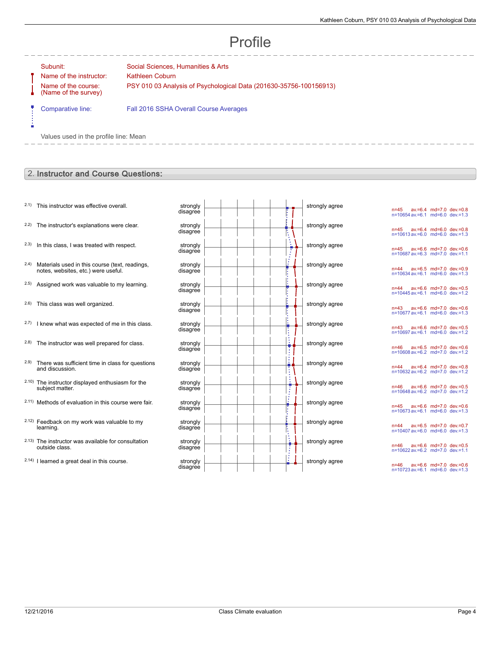# Profile

-------------

Ė

Name of the instructor: Kathleen Coburn Name of the course: (Name of the survey)

Subunit: Subunit: Social Sciences, Humanities & Arts PSY 010 03 Analysis of Psychological Data (201630-35756-100156913)

Comparative line: Fall 2016 SSHA Overall Course Averages

Values used in the profile line: Mean

## 2. Instructor and Course Questions:

- $2.1$ ) This instructor was effective overall.
- $2.2$ ) The instructor's explanations were clear.
- $2.3$  In this class, I was treated with respect.
- 2.4) Materials used in this course (text, readings, notes, websites, etc.) were useful.
- $2.5$ ) Assigned work was valuable to my learning.
- $2.6$ ) This class was well organized.
- $2.7)$  I knew what was expected of me in this class.
- $2.8$ ) The instructor was well prepared for class.
- 2.9) There was sufficient time in class for questions and discussion.
- 2.10) The instructor displayed enthusiasm for the subject matter.
- 2.11) Methods of evaluation in this course were fair.
- 2.12) Feedback on my work was valuable to my learning.
- 2.13) The instructor was available for consultation outside class.
- $2.14$ ) I learned a great deal in this course.

| strongly<br>disagree | strongly agree |
|----------------------|----------------|
| strongly<br>disagree | strongly agree |
| strongly<br>disagree | strongly agree |
| strongly<br>disagree | strongly agree |
| strongly<br>disagree | strongly agree |
| strongly<br>disagree | strongly agree |
| strongly<br>disagree | strongly agree |
| strongly<br>disagree | strongly agree |
| strongly<br>disagree | strongly agree |
| strongly<br>disagree | strongly agree |
| strongly<br>disagree | strongly agree |
| strongly<br>disagree | strongly agree |
| strongly<br>disagree | strongly agree |
| strongly<br>disagree | strongly agree |

n=45 av.=6.4 md=7.0 dev.=0.8 n=10654 av.=6.1 md=6.0 dev.=1.3 n=45 av.=6.4 md=6.0 dev.=0.8 n=10613 av.=6.0 md=6.0 dev.=1.3 n=45 av.=6.6 md=7.0 dev.=0.6 n=10687 av.=6.3 md=7.0 dev.=1.1 n=44 av.=6.5 md=7.0 dev.=0.9 n=10634 av.=6.1 md=6.0 dev.=1.3 n=44 av.=6.6 md=7.0 dev.=0.5 n=10445 av.=6.1 md=6.0 dev.=1.2 n=43 av.=6.6 md=7.0 dev.=0.6 n=10677 av.=6.1 md=6.0 dev.=1.3 n=43 av.=6.6 md=7.0 dev.=0.5 n=10697 av.=6.1 md=6.0 dev.=1.2 n=46 av.=6.5 md=7.0 dev.=0.6 n=10608 av.=6.2 md=7.0 dev.=1.2 n=44 av.=6.4 md=7.0 dev.=0.8 n=10632 av.=6.2 md=7.0 dev.=1.2 n=46 av.=6.6 md=7.0 dev.=0.5 n=10648 av.=6.2 md=7.0 dev.=1.2 n=45 av.=6.6 md=7.0 dev.=0.6 n=10673 av.=6.1 md=6.0 dev.=1.3 n=44 av.=6.5 md=7.0 dev.=0.7 n=10407 av.=6.0 md=6.0 dev.=1.3 n=46 av.=6.6 md=7.0 dev.=0.5 n=10622 av.=6.2 md=7.0 dev.=1.1 n=46 av.=6.6 md=7.0 dev.=0.6 n=10723 av.=6.1 md=6.0 dev.=1.3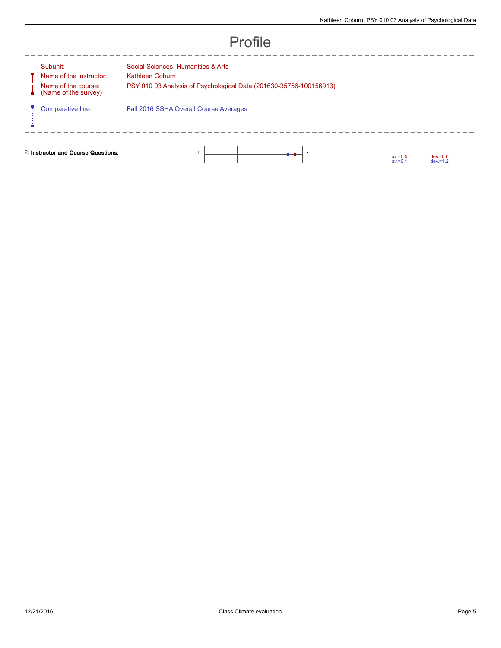|                                     | Subunit:<br>Name of the instructor:<br>Name of the course:<br>(Name of the survey) | Social Sciences, Humanities & Arts<br>Kathleen Coburn<br>PSY 010 03 Analysis of Psychological Data (201630-35756-100156913) |
|-------------------------------------|------------------------------------------------------------------------------------|-----------------------------------------------------------------------------------------------------------------------------|
|                                     | Comparative line:                                                                  | Fall 2016 SSHA Overall Course Averages                                                                                      |
| 2. Instructor and Course Questions: |                                                                                    | $+$<br>$dev = 0.6$<br>$av = 6.5$<br>$av = 6.1$<br>$dev = 1.2$                                                               |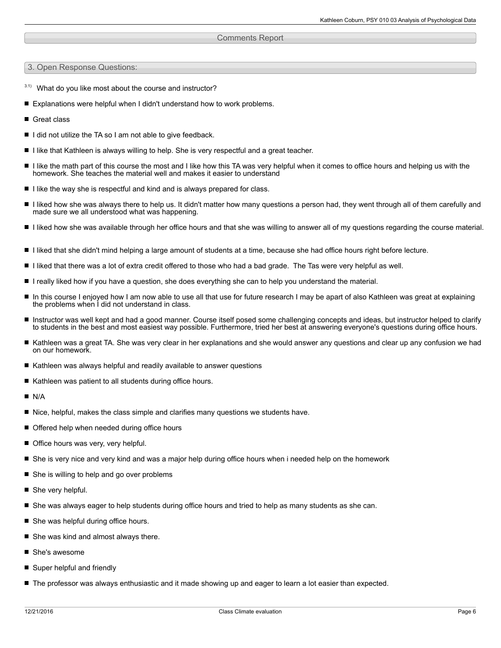## Comments Report

3. Open Response Questions:

- $3.1)$  What do you like most about the course and instructor?
- Explanations were helpful when I didn't understand how to work problems.
- Great class
- I did not utilize the TA so I am not able to give feedback.
- I like that Kathleen is always willing to help. She is very respectful and a great teacher.
- I like the math part of this course the most and I like how this TA was very helpful when it comes to office hours and helping us with the homework. She teaches the material well and makes it easier to understand
- $\blacksquare$  I like the way she is respectful and kind and is always prepared for class.
- I liked how she was always there to help us. It didn't matter how many questions a person had, they went through all of them carefully and made sure we all understood what was happening.
- I liked how she was available through her office hours and that she was willing to answer all of my questions regarding the course material.
- I liked that she didn't mind helping a large amount of students at a time, because she had office hours right before lecture.
- I liked that there was a lot of extra credit offered to those who had a bad grade. The Tas were very helpful as well.
- I really liked how if you have a question, she does everything she can to help you understand the material.
- In this course I enjoyed how I am now able to use all that use for future research I may be apart of also Kathleen was great at explaining  $\blacksquare$ the problems when I did not understand in class.
- Instructor was well kept and had a good manner. Course itself posed some challenging concepts and ideas, but instructor helped to clarify to students in the best and most easiest way possible. Furthermore, tried her best at answering everyone's questions during office hours.
- Kathleen was a great TA. She was very clear in her explanations and she would answer any questions and clear up any confusion we had on our homework.
- Kathleen was always helpful and readily available to answer questions
- $\blacksquare$  Kathleen was patient to all students during office hours.
- **N/A**
- $\blacksquare$  Nice, helpful, makes the class simple and clarifies many questions we students have.
- Offered help when needed during office hours
- Office hours was very, very helpful.
- She is very nice and very kind and was a major help during office hours when i needed help on the homework
- She is willing to help and go over problems
- She very helpful.
- She was always eager to help students during office hours and tried to help as many students as she can.
- She was helpful during office hours.
- She was kind and almost always there.
- She's awesome
- Super helpful and friendly
- The professor was always enthusiastic and it made showing up and eager to learn a lot easier than expected.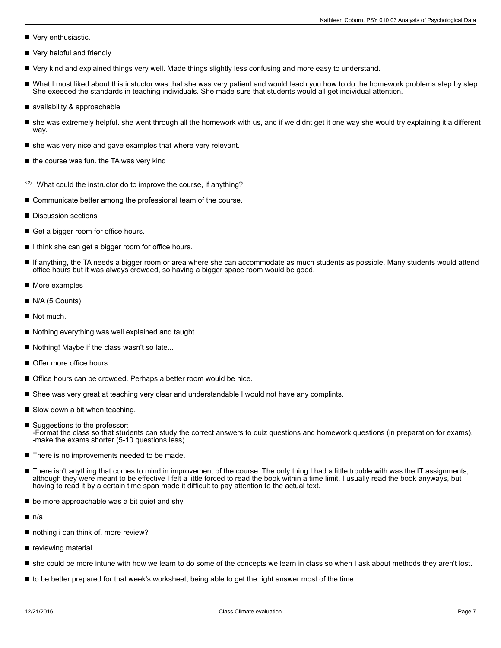- Very enthusiastic.
- Very helpful and friendly
- Very kind and explained things very well. Made things slightly less confusing and more easy to understand.
- What I most liked about this instuctor was that she was very patient and would teach you how to do the homework problems step by step. She exeeded the standards in teaching individuals. She made sure that students would all get individual attention.
- availability & approachable
- she was extremely helpful. she went through all the homework with us, and if we didnt get it one way she would try explaining it a different way.
- $\blacksquare$  she was very nice and gave examples that where very relevant.
- $\blacksquare$  the course was fun. the TA was very kind
- $3.2$ ) What could the instructor do to improve the course, if anything?
- Communicate better among the professional team of the course.
- Discussion sections
- Get a bigger room for office hours.
- I I think she can get a bigger room for office hours.
- If anything, the TA needs a bigger room or area where she can accommodate as much students as possible. Many students would attend office hours but it was always crowded, so having a bigger space room would be good.
- More examples П
- N/A (5 Counts)
- Not much.
- Nothing everything was well explained and taught.
- Nothing! Maybe if the class wasn't so late...
- Offer more office hours.
- Office hours can be crowded. Perhaps a better room would be nice.
- Shee was very great at teaching very clear and understandable I would not have any complints.
- Slow down a bit when teaching.
- Suggestions to the professor: -Format the class so that students can study the correct answers to quiz questions and homework questions (in preparation for exams). -make the exams shorter (5-10 questions less)
- $\blacksquare$  There is no improvements needed to be made.
- $\blacksquare$ There isn't anything that comes to mind in improvement of the course. The only thing I had a little trouble with was the IT assignments, although they were meant to be effective I felt a little forced to read the book within a time limit. I usually read the book anyways, but having to read it by a certain time span made it difficult to pay attention to the actual text.
- П be more approachable was a bit quiet and shy
- $n/a$
- nothing i can think of. more review?
- reviewing material
- she could be more intune with how we learn to do some of the concepts we learn in class so when I ask about methods they aren't lost.
- to be better prepared for that week's worksheet, being able to get the right answer most of the time.